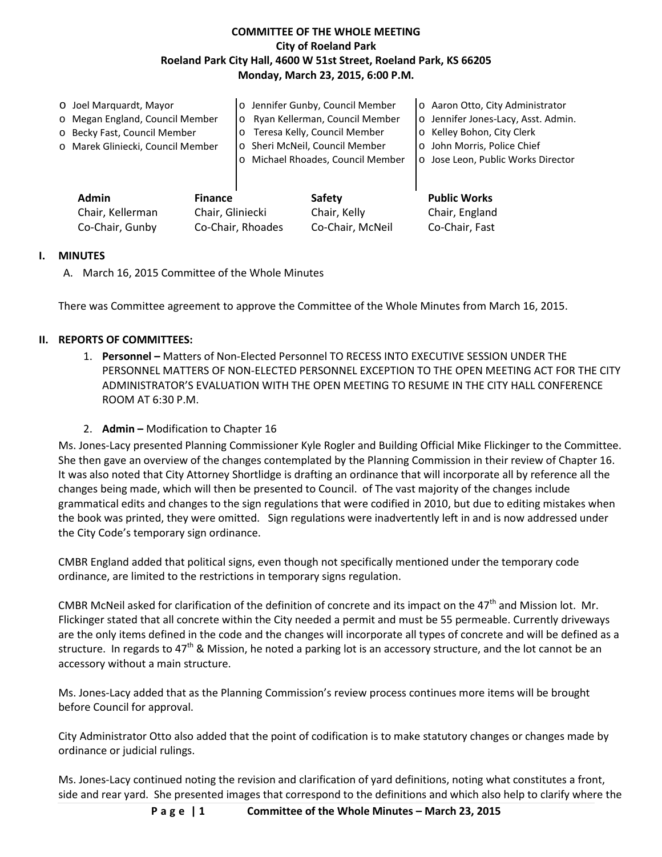## **COMMITTEE OF THE WHOLE MEETING City of Roeland Park Roeland Park City Hall, 4600 W 51st Street, Roeland Park, KS 66205 Monday, March 23, 2015, 6:00 P.M.**

| O Joel Marquardt, Mayor              |  |                                  | o Jennifer Gunby, Council Member  | o Aaron Otto, City Administrator    |
|--------------------------------------|--|----------------------------------|-----------------------------------|-------------------------------------|
| o Megan England, Council Member      |  | o Ryan Kellerman, Council Member |                                   | o Jennifer Jones-Lacy, Asst. Admin. |
| o Becky Fast, Council Member         |  | o Teresa Kelly, Council Member   |                                   | o Kelley Bohon, City Clerk          |
| o Marek Gliniecki, Council Member    |  | o Sheri McNeil, Council Member   |                                   | o John Morris, Police Chief         |
|                                      |  |                                  | o Michael Rhoades, Council Member | o Jose Leon, Public Works Director  |
|                                      |  |                                  |                                   |                                     |
| <b>Admin</b><br><b>Finance</b>       |  |                                  | <b>Safety</b>                     | <b>Public Works</b>                 |
| Chair, Gliniecki<br>Chair, Kellerman |  |                                  | Chair, Kelly                      | Chair, England                      |

## **I. MINUTES**

A. March 16, 2015 Committee of the Whole Minutes

There was Committee agreement to approve the Committee of the Whole Minutes from March 16, 2015.

Co-Chair, Gunby Co-Chair, Rhoades Co-Chair, McNeil Co-Chair, Fast

### **II. REPORTS OF COMMITTEES:**

- 1. **Personnel –** Matters of Non-Elected Personnel TO RECESS INTO EXECUTIVE SESSION UNDER THE PERSONNEL MATTERS OF NON-ELECTED PERSONNEL EXCEPTION TO THE OPEN MEETING ACT FOR THE CITY ADMINISTRATOR'S EVALUATION WITH THE OPEN MEETING TO RESUME IN THE CITY HALL CONFERENCE ROOM AT 6:30 P.M.
- 2. **Admin –** Modification to Chapter 16

Ms. Jones-Lacy presented Planning Commissioner Kyle Rogler and Building Official Mike Flickinger to the Committee. She then gave an overview of the changes contemplated by the Planning Commission in their review of Chapter 16. It was also noted that City Attorney Shortlidge is drafting an ordinance that will incorporate all by reference all the changes being made, which will then be presented to Council. of The vast majority of the changes include grammatical edits and changes to the sign regulations that were codified in 2010, but due to editing mistakes when the book was printed, they were omitted. Sign regulations were inadvertently left in and is now addressed under the City Code's temporary sign ordinance.

CMBR England added that political signs, even though not specifically mentioned under the temporary code ordinance, are limited to the restrictions in temporary signs regulation.

CMBR McNeil asked for clarification of the definition of concrete and its impact on the 47<sup>th</sup> and Mission lot. Mr. Flickinger stated that all concrete within the City needed a permit and must be 55 permeable. Currently driveways are the only items defined in the code and the changes will incorporate all types of concrete and will be defined as a structure. In regards to  $47<sup>th</sup>$  & Mission, he noted a parking lot is an accessory structure, and the lot cannot be an accessory without a main structure.

Ms. Jones-Lacy added that as the Planning Commission's review process continues more items will be brought before Council for approval.

City Administrator Otto also added that the point of codification is to make statutory changes or changes made by ordinance or judicial rulings.

Ms. Jones-Lacy continued noting the revision and clarification of yard definitions, noting what constitutes a front, side and rear yard. She presented images that correspond to the definitions and which also help to clarify where the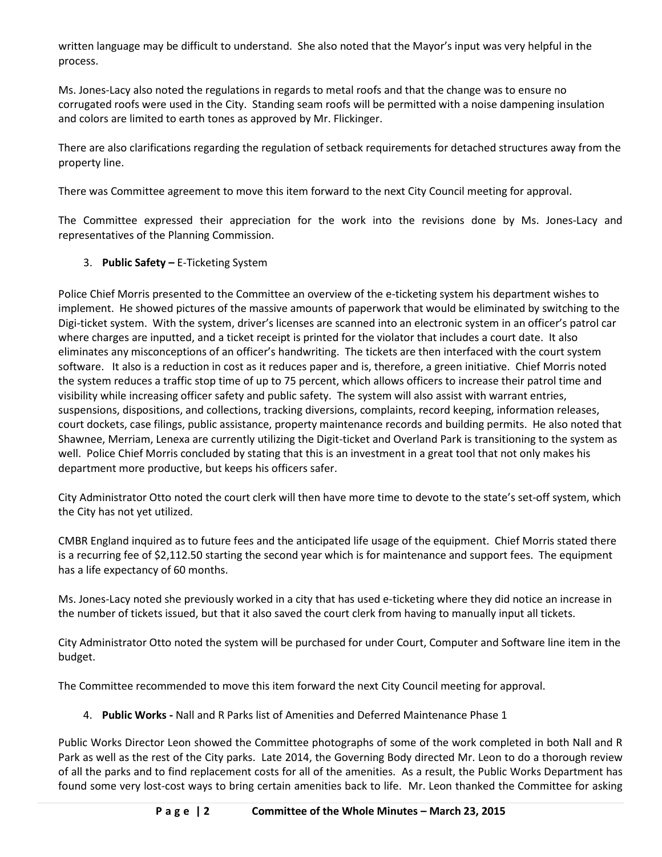written language may be difficult to understand. She also noted that the Mayor's input was very helpful in the process.

Ms. Jones-Lacy also noted the regulations in regards to metal roofs and that the change was to ensure no corrugated roofs were used in the City. Standing seam roofs will be permitted with a noise dampening insulation and colors are limited to earth tones as approved by Mr. Flickinger.

There are also clarifications regarding the regulation of setback requirements for detached structures away from the property line.

There was Committee agreement to move this item forward to the next City Council meeting for approval.

The Committee expressed their appreciation for the work into the revisions done by Ms. Jones-Lacy and representatives of the Planning Commission.

3. **Public Safety –** E-Ticketing System

Police Chief Morris presented to the Committee an overview of the e-ticketing system his department wishes to implement. He showed pictures of the massive amounts of paperwork that would be eliminated by switching to the Digi-ticket system. With the system, driver's licenses are scanned into an electronic system in an officer's patrol car where charges are inputted, and a ticket receipt is printed for the violator that includes a court date. It also eliminates any misconceptions of an officer's handwriting. The tickets are then interfaced with the court system software. It also is a reduction in cost as it reduces paper and is, therefore, a green initiative. Chief Morris noted the system reduces a traffic stop time of up to 75 percent, which allows officers to increase their patrol time and visibility while increasing officer safety and public safety. The system will also assist with warrant entries, suspensions, dispositions, and collections, tracking diversions, complaints, record keeping, information releases, court dockets, case filings, public assistance, property maintenance records and building permits. He also noted that Shawnee, Merriam, Lenexa are currently utilizing the Digit-ticket and Overland Park is transitioning to the system as well. Police Chief Morris concluded by stating that this is an investment in a great tool that not only makes his department more productive, but keeps his officers safer.

City Administrator Otto noted the court clerk will then have more time to devote to the state's set-off system, which the City has not yet utilized.

CMBR England inquired as to future fees and the anticipated life usage of the equipment. Chief Morris stated there is a recurring fee of \$2,112.50 starting the second year which is for maintenance and support fees. The equipment has a life expectancy of 60 months.

Ms. Jones-Lacy noted she previously worked in a city that has used e-ticketing where they did notice an increase in the number of tickets issued, but that it also saved the court clerk from having to manually input all tickets.

City Administrator Otto noted the system will be purchased for under Court, Computer and Software line item in the budget.

The Committee recommended to move this item forward the next City Council meeting for approval.

4. **Public Works -** Nall and R Parks list of Amenities and Deferred Maintenance Phase 1

Public Works Director Leon showed the Committee photographs of some of the work completed in both Nall and R Park as well as the rest of the City parks. Late 2014, the Governing Body directed Mr. Leon to do a thorough review of all the parks and to find replacement costs for all of the amenities. As a result, the Public Works Department has found some very lost-cost ways to bring certain amenities back to life. Mr. Leon thanked the Committee for asking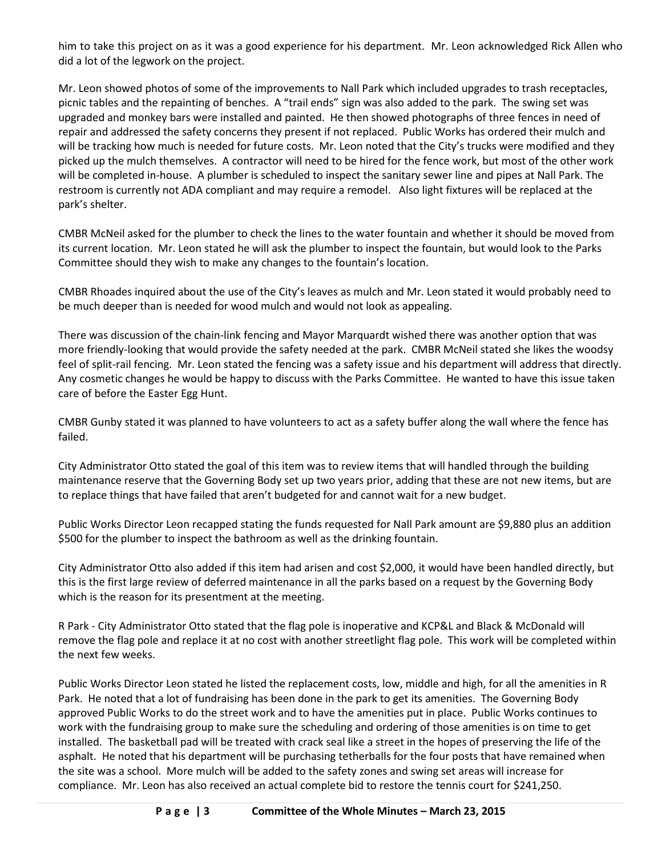him to take this project on as it was a good experience for his department. Mr. Leon acknowledged Rick Allen who did a lot of the legwork on the project.

Mr. Leon showed photos of some of the improvements to Nall Park which included upgrades to trash receptacles, picnic tables and the repainting of benches. A "trail ends" sign was also added to the park. The swing set was upgraded and monkey bars were installed and painted. He then showed photographs of three fences in need of repair and addressed the safety concerns they present if not replaced. Public Works has ordered their mulch and will be tracking how much is needed for future costs. Mr. Leon noted that the City's trucks were modified and they picked up the mulch themselves. A contractor will need to be hired for the fence work, but most of the other work will be completed in-house. A plumber is scheduled to inspect the sanitary sewer line and pipes at Nall Park. The restroom is currently not ADA compliant and may require a remodel. Also light fixtures will be replaced at the park's shelter.

CMBR McNeil asked for the plumber to check the lines to the water fountain and whether it should be moved from its current location. Mr. Leon stated he will ask the plumber to inspect the fountain, but would look to the Parks Committee should they wish to make any changes to the fountain's location.

CMBR Rhoades inquired about the use of the City's leaves as mulch and Mr. Leon stated it would probably need to be much deeper than is needed for wood mulch and would not look as appealing.

There was discussion of the chain-link fencing and Mayor Marquardt wished there was another option that was more friendly-looking that would provide the safety needed at the park. CMBR McNeil stated she likes the woodsy feel of split-rail fencing. Mr. Leon stated the fencing was a safety issue and his department will address that directly. Any cosmetic changes he would be happy to discuss with the Parks Committee. He wanted to have this issue taken care of before the Easter Egg Hunt.

CMBR Gunby stated it was planned to have volunteers to act as a safety buffer along the wall where the fence has failed.

City Administrator Otto stated the goal of this item was to review items that will handled through the building maintenance reserve that the Governing Body set up two years prior, adding that these are not new items, but are to replace things that have failed that aren't budgeted for and cannot wait for a new budget.

Public Works Director Leon recapped stating the funds requested for Nall Park amount are \$9,880 plus an addition \$500 for the plumber to inspect the bathroom as well as the drinking fountain.

City Administrator Otto also added if this item had arisen and cost \$2,000, it would have been handled directly, but this is the first large review of deferred maintenance in all the parks based on a request by the Governing Body which is the reason for its presentment at the meeting.

R Park - City Administrator Otto stated that the flag pole is inoperative and KCP&L and Black & McDonald will remove the flag pole and replace it at no cost with another streetlight flag pole. This work will be completed within the next few weeks.

Public Works Director Leon stated he listed the replacement costs, low, middle and high, for all the amenities in R Park. He noted that a lot of fundraising has been done in the park to get its amenities. The Governing Body approved Public Works to do the street work and to have the amenities put in place. Public Works continues to work with the fundraising group to make sure the scheduling and ordering of those amenities is on time to get installed. The basketball pad will be treated with crack seal like a street in the hopes of preserving the life of the asphalt. He noted that his department will be purchasing tetherballs for the four posts that have remained when the site was a school. More mulch will be added to the safety zones and swing set areas will increase for compliance. Mr. Leon has also received an actual complete bid to restore the tennis court for \$241,250.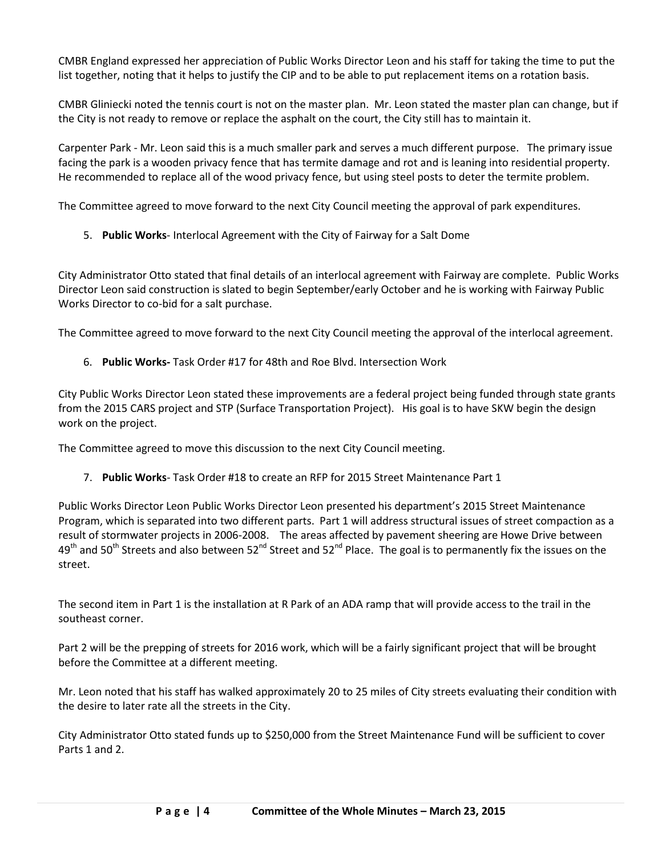CMBR England expressed her appreciation of Public Works Director Leon and his staff for taking the time to put the list together, noting that it helps to justify the CIP and to be able to put replacement items on a rotation basis.

CMBR Gliniecki noted the tennis court is not on the master plan. Mr. Leon stated the master plan can change, but if the City is not ready to remove or replace the asphalt on the court, the City still has to maintain it.

Carpenter Park - Mr. Leon said this is a much smaller park and serves a much different purpose. The primary issue facing the park is a wooden privacy fence that has termite damage and rot and is leaning into residential property. He recommended to replace all of the wood privacy fence, but using steel posts to deter the termite problem.

The Committee agreed to move forward to the next City Council meeting the approval of park expenditures.

5. **Public Works**- Interlocal Agreement with the City of Fairway for a Salt Dome

City Administrator Otto stated that final details of an interlocal agreement with Fairway are complete. Public Works Director Leon said construction is slated to begin September/early October and he is working with Fairway Public Works Director to co-bid for a salt purchase.

The Committee agreed to move forward to the next City Council meeting the approval of the interlocal agreement.

6. **Public Works-** Task Order #17 for 48th and Roe Blvd. Intersection Work

City Public Works Director Leon stated these improvements are a federal project being funded through state grants from the 2015 CARS project and STP (Surface Transportation Project). His goal is to have SKW begin the design work on the project.

The Committee agreed to move this discussion to the next City Council meeting.

7. **Public Works**- Task Order #18 to create an RFP for 2015 Street Maintenance Part 1

Public Works Director Leon Public Works Director Leon presented his department's 2015 Street Maintenance Program, which is separated into two different parts. Part 1 will address structural issues of street compaction as a result of stormwater projects in 2006-2008. The areas affected by pavement sheering are Howe Drive between  $49<sup>th</sup>$  and 50<sup>th</sup> Streets and also between 52<sup>nd</sup> Street and 52<sup>nd</sup> Place. The goal is to permanently fix the issues on the street.

The second item in Part 1 is the installation at R Park of an ADA ramp that will provide access to the trail in the southeast corner.

Part 2 will be the prepping of streets for 2016 work, which will be a fairly significant project that will be brought before the Committee at a different meeting.

Mr. Leon noted that his staff has walked approximately 20 to 25 miles of City streets evaluating their condition with the desire to later rate all the streets in the City.

City Administrator Otto stated funds up to \$250,000 from the Street Maintenance Fund will be sufficient to cover Parts 1 and 2.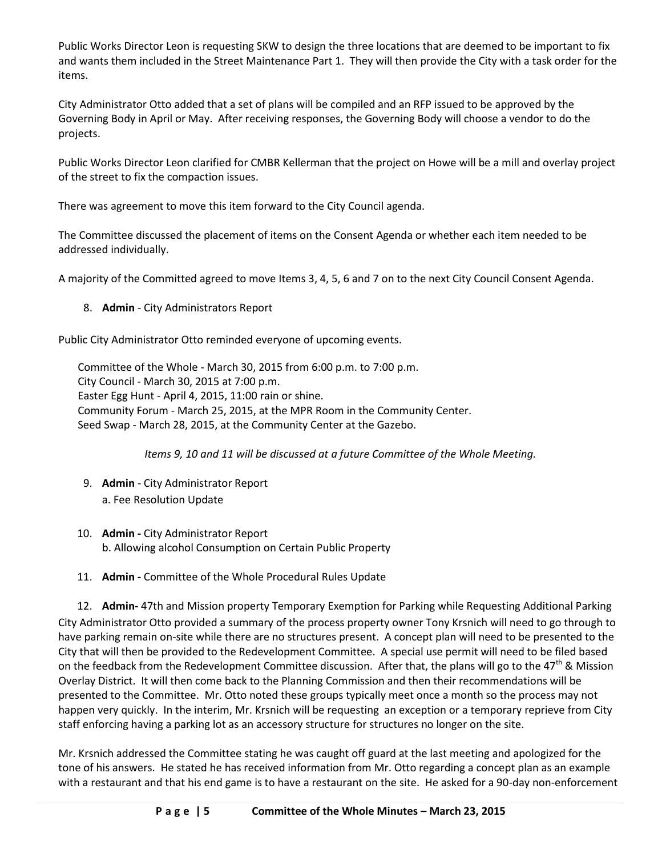Public Works Director Leon is requesting SKW to design the three locations that are deemed to be important to fix and wants them included in the Street Maintenance Part 1. They will then provide the City with a task order for the items.

City Administrator Otto added that a set of plans will be compiled and an RFP issued to be approved by the Governing Body in April or May. After receiving responses, the Governing Body will choose a vendor to do the projects.

Public Works Director Leon clarified for CMBR Kellerman that the project on Howe will be a mill and overlay project of the street to fix the compaction issues.

There was agreement to move this item forward to the City Council agenda.

The Committee discussed the placement of items on the Consent Agenda or whether each item needed to be addressed individually.

A majority of the Committed agreed to move Items 3, 4, 5, 6 and 7 on to the next City Council Consent Agenda.

# 8. **Admin** - City Administrators Report

Public City Administrator Otto reminded everyone of upcoming events.

Committee of the Whole - March 30, 2015 from 6:00 p.m. to 7:00 p.m. City Council - March 30, 2015 at 7:00 p.m. Easter Egg Hunt - April 4, 2015, 11:00 rain or shine. Community Forum - March 25, 2015, at the MPR Room in the Community Center. Seed Swap - March 28, 2015, at the Community Center at the Gazebo.

*Items 9, 10 and 11 will be discussed at a future Committee of the Whole Meeting.*

- 9. **Admin**  City Administrator Report a. Fee Resolution Update
- 10. **Admin -** City Administrator Report b. Allowing alcohol Consumption on Certain Public Property
- 11. **Admin -** Committee of the Whole Procedural Rules Update

12. **Admin-** 47th and Mission property Temporary Exemption for Parking while Requesting Additional Parking City Administrator Otto provided a summary of the process property owner Tony Krsnich will need to go through to have parking remain on-site while there are no structures present. A concept plan will need to be presented to the City that will then be provided to the Redevelopment Committee. A special use permit will need to be filed based on the feedback from the Redevelopment Committee discussion. After that, the plans will go to the 47<sup>th</sup> & Mission Overlay District. It will then come back to the Planning Commission and then their recommendations will be presented to the Committee. Mr. Otto noted these groups typically meet once a month so the process may not happen very quickly. In the interim, Mr. Krsnich will be requesting an exception or a temporary reprieve from City staff enforcing having a parking lot as an accessory structure for structures no longer on the site.

Mr. Krsnich addressed the Committee stating he was caught off guard at the last meeting and apologized for the tone of his answers. He stated he has received information from Mr. Otto regarding a concept plan as an example with a restaurant and that his end game is to have a restaurant on the site. He asked for a 90-day non-enforcement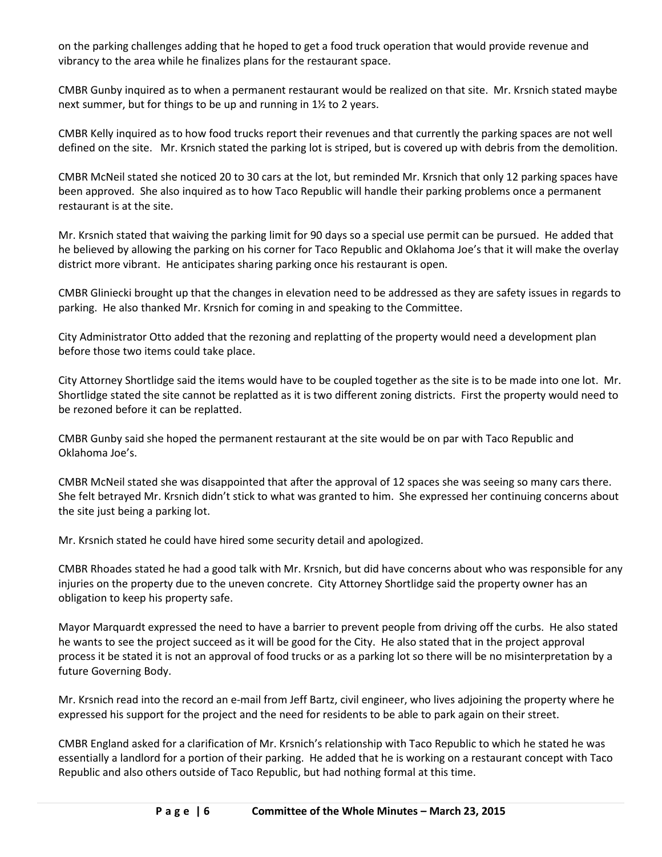on the parking challenges adding that he hoped to get a food truck operation that would provide revenue and vibrancy to the area while he finalizes plans for the restaurant space.

CMBR Gunby inquired as to when a permanent restaurant would be realized on that site. Mr. Krsnich stated maybe next summer, but for things to be up and running in 1½ to 2 years.

CMBR Kelly inquired as to how food trucks report their revenues and that currently the parking spaces are not well defined on the site. Mr. Krsnich stated the parking lot is striped, but is covered up with debris from the demolition.

CMBR McNeil stated she noticed 20 to 30 cars at the lot, but reminded Mr. Krsnich that only 12 parking spaces have been approved. She also inquired as to how Taco Republic will handle their parking problems once a permanent restaurant is at the site.

Mr. Krsnich stated that waiving the parking limit for 90 days so a special use permit can be pursued. He added that he believed by allowing the parking on his corner for Taco Republic and Oklahoma Joe's that it will make the overlay district more vibrant. He anticipates sharing parking once his restaurant is open.

CMBR Gliniecki brought up that the changes in elevation need to be addressed as they are safety issues in regards to parking. He also thanked Mr. Krsnich for coming in and speaking to the Committee.

City Administrator Otto added that the rezoning and replatting of the property would need a development plan before those two items could take place.

City Attorney Shortlidge said the items would have to be coupled together as the site is to be made into one lot. Mr. Shortlidge stated the site cannot be replatted as it is two different zoning districts. First the property would need to be rezoned before it can be replatted.

CMBR Gunby said she hoped the permanent restaurant at the site would be on par with Taco Republic and Oklahoma Joe's.

CMBR McNeil stated she was disappointed that after the approval of 12 spaces she was seeing so many cars there. She felt betrayed Mr. Krsnich didn't stick to what was granted to him. She expressed her continuing concerns about the site just being a parking lot.

Mr. Krsnich stated he could have hired some security detail and apologized.

CMBR Rhoades stated he had a good talk with Mr. Krsnich, but did have concerns about who was responsible for any injuries on the property due to the uneven concrete. City Attorney Shortlidge said the property owner has an obligation to keep his property safe.

Mayor Marquardt expressed the need to have a barrier to prevent people from driving off the curbs. He also stated he wants to see the project succeed as it will be good for the City. He also stated that in the project approval process it be stated it is not an approval of food trucks or as a parking lot so there will be no misinterpretation by a future Governing Body.

Mr. Krsnich read into the record an e-mail from Jeff Bartz, civil engineer, who lives adjoining the property where he expressed his support for the project and the need for residents to be able to park again on their street.

CMBR England asked for a clarification of Mr. Krsnich's relationship with Taco Republic to which he stated he was essentially a landlord for a portion of their parking. He added that he is working on a restaurant concept with Taco Republic and also others outside of Taco Republic, but had nothing formal at this time.